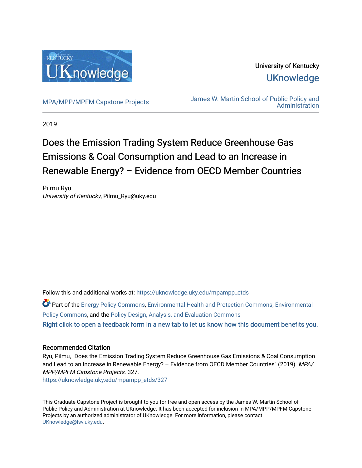

University of Kentucky **UKnowledge** 

[MPA/MPP/MPFM Capstone Projects](https://uknowledge.uky.edu/mpampp_etds) James W. Martin School of Public Policy and [Administration](https://uknowledge.uky.edu/msppa) 

2019

# Does the Emission Trading System Reduce Greenhouse Gas Emissions & Coal Consumption and Lead to an Increase in Renewable Energy? – Evidence from OECD Member Countries

Pilmu Ryu University of Kentucky, Pilmu\_Ryu@uky.edu

Follow this and additional works at: [https://uknowledge.uky.edu/mpampp\\_etds](https://uknowledge.uky.edu/mpampp_etds?utm_source=uknowledge.uky.edu%2Fmpampp_etds%2F327&utm_medium=PDF&utm_campaign=PDFCoverPages)

Part of the [Energy Policy Commons](http://network.bepress.com/hgg/discipline/1065?utm_source=uknowledge.uky.edu%2Fmpampp_etds%2F327&utm_medium=PDF&utm_campaign=PDFCoverPages), [Environmental Health and Protection Commons](http://network.bepress.com/hgg/discipline/172?utm_source=uknowledge.uky.edu%2Fmpampp_etds%2F327&utm_medium=PDF&utm_campaign=PDFCoverPages), [Environmental](http://network.bepress.com/hgg/discipline/1027?utm_source=uknowledge.uky.edu%2Fmpampp_etds%2F327&utm_medium=PDF&utm_campaign=PDFCoverPages) [Policy Commons](http://network.bepress.com/hgg/discipline/1027?utm_source=uknowledge.uky.edu%2Fmpampp_etds%2F327&utm_medium=PDF&utm_campaign=PDFCoverPages), and the [Policy Design, Analysis, and Evaluation Commons](http://network.bepress.com/hgg/discipline/1032?utm_source=uknowledge.uky.edu%2Fmpampp_etds%2F327&utm_medium=PDF&utm_campaign=PDFCoverPages) [Right click to open a feedback form in a new tab to let us know how this document benefits you.](https://uky.az1.qualtrics.com/jfe/form/SV_9mq8fx2GnONRfz7)

# Recommended Citation

Ryu, Pilmu, "Does the Emission Trading System Reduce Greenhouse Gas Emissions & Coal Consumption and Lead to an Increase in Renewable Energy? – Evidence from OECD Member Countries" (2019). MPA/ MPP/MPFM Capstone Projects. 327.

[https://uknowledge.uky.edu/mpampp\\_etds/327](https://uknowledge.uky.edu/mpampp_etds/327?utm_source=uknowledge.uky.edu%2Fmpampp_etds%2F327&utm_medium=PDF&utm_campaign=PDFCoverPages)

This Graduate Capstone Project is brought to you for free and open access by the James W. Martin School of Public Policy and Administration at UKnowledge. It has been accepted for inclusion in MPA/MPP/MPFM Capstone Projects by an authorized administrator of UKnowledge. For more information, please contact [UKnowledge@lsv.uky.edu.](mailto:UKnowledge@lsv.uky.edu)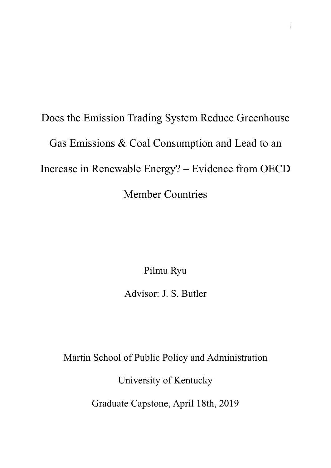# Does the Emission Trading System Reduce Greenhouse Gas Emissions & Coal Consumption and Lead to an Increase in Renewable Energy? – Evidence from OECD Member Countries

Pilmu Ryu

Advisor: J. S. Butler

Martin School of Public Policy and Administration

University of Kentucky

Graduate Capstone, April 18th, 2019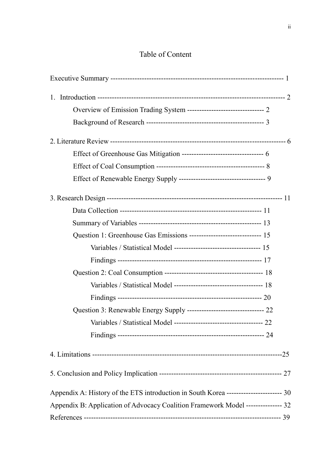# Table of Content

| Question 1: Greenhouse Gas Emissions ------------------------------- 15               |    |
|---------------------------------------------------------------------------------------|----|
|                                                                                       |    |
|                                                                                       |    |
|                                                                                       |    |
|                                                                                       |    |
|                                                                                       |    |
| Question 3: Renewable Energy Supply ------------------------------- 22                |    |
| Variables / Statistical Model -----------------                                       | 22 |
|                                                                                       |    |
|                                                                                       |    |
|                                                                                       |    |
| Appendix A: History of the ETS introduction in South Korea ----------------------- 30 |    |
| Appendix B: Application of Advocacy Coalition Framework Model --------------- 32      |    |
|                                                                                       |    |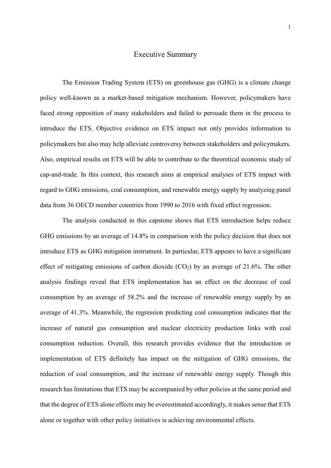# Executive Summary

The Emission Trading System (ETS) on greenhouse gas (GHG) is a climate change policy well-known as a market-based mitigation mechanism. However, policymakers have faced strong opposition of many stakeholders and failed to persuade them in the process to introduce the ETS. Objective evidence on ETS impact not only provides information to policymakers but also may help alleviate controversy between stakeholders and policymakers. Also, empirical results on ETS will be able to contribute to the theoretical economic study of cap-and-trade. In this context, this research aims at empirical analyses of ETS impact with regard to GHG emissions, coal consumption, and renewable energy supply by analyzing panel data from 36 OECD member countries from 1990 to 2016 with fixed effect regression.

The analysis conducted in this capstone shows that ETS introduction helps reduce GHG emissions by an average of 14.8% in comparison with the policy decision that does not introduce ETS as GHG mitigation instrument. In particular, ETS appears to have a significant effect of mitigating emissions of carbon dioxide  $(CO<sub>2</sub>)$  by an average of 21.6%. The other analysis findings reveal that ETS implementation has an effect on the decrease of coal consumption by an average of 58.2% and the increase of renewable energy supply by an average of 41.3%. Meanwhile, the regression predicting coal consumption indicates that the increase of natural gas consumption and nuclear electricity production links with coal consumption reduction. Overall, this research provides evidence that the introduction or implementation of ETS definitely has impact on the mitigation of GHG emissions, the reduction of coal consumption, and the increase of renewable energy supply. Though this research has limitations that ETS may be accompanied by other policies at the same period and that the degree of ETS alone effects may be overestimated accordingly, it makes sense that ETS alone or together with other policy initiatives is achieving environmental effects.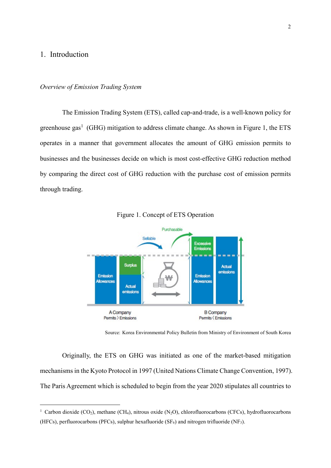# 1. Introduction

-

#### *Overview of Emission Trading System*

The Emission Trading System (ETS), called cap-and-trade, is a well-known policy for greenhouse gas<sup>1</sup> (GHG) mitigation to address climate change. As shown in Figure 1, the ETS operates in a manner that government allocates the amount of GHG emission permits to businesses and the businesses decide on which is most cost-effective GHG reduction method by comparing the direct cost of GHG reduction with the purchase cost of emission permits through trading.



Figure 1. Concept of ETS Operation

Source: Korea Environmental Policy Bulletin from Ministry of Environment of South Korea

Originally, the ETS on GHG was initiated as one of the market-based mitigation mechanisms in the Kyoto Protocol in 1997 (United Nations Climate Change Convention, 1997). The Paris Agreement which is scheduled to begin from the year 2020 stipulates all countries to

<sup>&</sup>lt;sup>1</sup> Carbon dioxide (CO<sub>2</sub>), methane (CH<sub>4</sub>), nitrous oxide (N<sub>2</sub>O), chlorofluorocarbons (CFCs), hydrofluorocarbons (HFCs), perfluorocarbons (PFCs), sulphur hexafluoride (SF $_6$ ) and nitrogen trifluoride (NF<sub>3</sub>).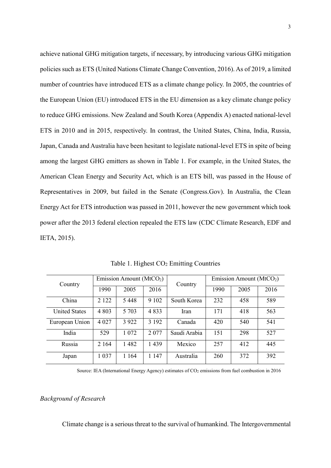achieve national GHG mitigation targets, if necessary, by introducing various GHG mitigation policies such as ETS (United Nations Climate Change Convention, 2016). As of 2019, a limited number of countries have introduced ETS as a climate change policy. In 2005, the countries of the European Union (EU) introduced ETS in the EU dimension as a key climate change policy to reduce GHG emissions. New Zealand and South Korea (Appendix A) enacted national-level ETS in 2010 and in 2015, respectively. In contrast, the United States, China, India, Russia, Japan, Canada and Australia have been hesitant to legislate national-level ETS in spite of being among the largest GHG emitters as shown in Table 1. For example, in the United States, the American Clean Energy and Security Act, which is an ETS bill, was passed in the House of Representatives in 2009, but failed in the Senate (Congress.Gov). In Australia, the Clean Energy Act for ETS introduction was passed in 2011, however the new government which took power after the 2013 federal election repealed the ETS law (CDC Climate Research, EDF and IETA, 2015).

| Country              | Emission Amount ( $MtCO2$ ) |         | Country | Emission Amount ( $MtCO2$ ) |     |     |     |
|----------------------|-----------------------------|---------|---------|-----------------------------|-----|-----|-----|
|                      | 2016<br>1990<br>2005        | 1990    | 2005    | 2016                        |     |     |     |
| China                | 2 1 2 2                     | 5448    | 9 1 0 2 | South Korea                 | 232 | 458 | 589 |
| <b>United States</b> | 4 8 0 3                     | 5 703   | 4833    | Iran                        | 171 | 418 | 563 |
| European Union       | 4 0 27                      | 3 9 2 2 | 3 1 9 2 | Canada                      | 420 | 540 | 541 |
| India                | 529                         | 1 0 7 2 | 2077    | Saudi Arabia                | 151 | 298 | 527 |
| Russia               | 2 1 6 4                     | 1482    | 1439    | Mexico                      | 257 | 412 | 445 |
| Japan                | 1 0 3 7                     | 1 1 64  | 1 1 4 7 | Australia                   | 260 | 372 | 392 |

Table 1. Highest  $CO<sub>2</sub>$  Emitting Countries

Source: IEA (International Energy Agency) estimates of CO2 emissions from fuel combustion in 2016

### *Background of Research*

Climate change is a serious threat to the survival of humankind. The Intergovernmental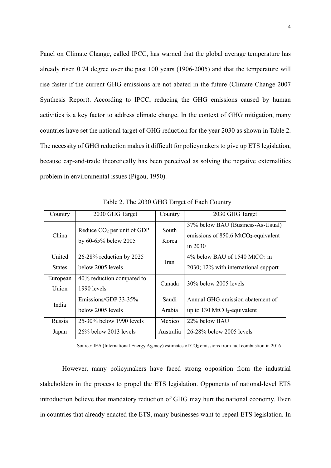Panel on Climate Change, called IPCC, has warned that the global average temperature has already risen 0.74 degree over the past 100 years (1906-2005) and that the temperature will rise faster if the current GHG emissions are not abated in the future (Climate Change 2007 Synthesis Report). According to IPCC, reducing the GHG emissions caused by human activities is a key factor to address climate change. In the context of GHG mitigation, many countries have set the national target of GHG reduction for the year 2030 as shown in Table 2. The necessity of GHG reduction makes it difficult for policymakers to give up ETS legislation, because cap-and-trade theoretically has been perceived as solving the negative externalities problem in environmental issues (Pigou, 1950).

| Country           | 2030 GHG Target                                      | Country         | 2030 GHG Target                                                                                      |
|-------------------|------------------------------------------------------|-----------------|------------------------------------------------------------------------------------------------------|
| China             | Reduce $CO2$ per unit of GDP<br>by 60-65% below 2005 | South<br>Korea  | 37% below BAU (Business-As-Usual)<br>emissions of $850.6$ MtCO <sub>2</sub> -equivalent<br>in $2030$ |
| United            | 26-28% reduction by 2025                             | <b>Iran</b>     | 4% below BAU of 1540 MtCO <sub>2</sub> in                                                            |
| <b>States</b>     | below 2005 levels                                    |                 | 2030; 12% with international support                                                                 |
| European<br>Union | 40% reduction compared to<br>1990 levels             | Canada          | 30% below 2005 levels                                                                                |
| India             | Emissions/GDP 33-35%<br>below 2005 levels            | Saudi<br>Arabia | Annual GHG-emission abatement of<br>up to 130 MtCO <sub>2</sub> -equivalent                          |
| Russia            | 25-30% below 1990 levels                             | Mexico          | 22% below BAU                                                                                        |
| Japan             | $26\%$ below 2013 levels                             | Australia       | 26-28% below 2005 levels                                                                             |

Table 2. The 2030 GHG Target of Each Country

Source: IEA (International Energy Agency) estimates of CO2 emissions from fuel combustion in 2016

However, many policymakers have faced strong opposition from the industrial stakeholders in the process to propel the ETS legislation. Opponents of national-level ETS introduction believe that mandatory reduction of GHG may hurt the national economy. Even in countries that already enacted the ETS, many businesses want to repeal ETS legislation. In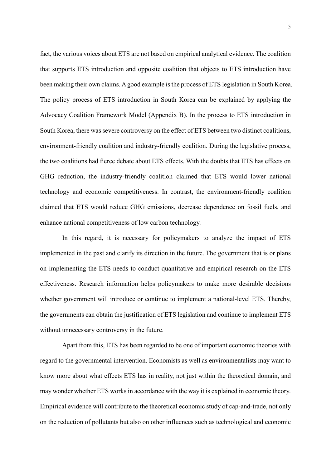fact, the various voices about ETS are not based on empirical analytical evidence. The coalition that supports ETS introduction and opposite coalition that objects to ETS introduction have been making their own claims. A good example is the process of ETS legislation in South Korea. The policy process of ETS introduction in South Korea can be explained by applying the Advocacy Coalition Framework Model (Appendix B). In the process to ETS introduction in South Korea, there was severe controversy on the effect of ETS between two distinct coalitions, environment-friendly coalition and industry-friendly coalition. During the legislative process, the two coalitions had fierce debate about ETS effects. With the doubts that ETS has effects on GHG reduction, the industry-friendly coalition claimed that ETS would lower national technology and economic competitiveness. In contrast, the environment-friendly coalition claimed that ETS would reduce GHG emissions, decrease dependence on fossil fuels, and enhance national competitiveness of low carbon technology.

In this regard, it is necessary for policymakers to analyze the impact of ETS implemented in the past and clarify its direction in the future. The government that is or plans on implementing the ETS needs to conduct quantitative and empirical research on the ETS effectiveness. Research information helps policymakers to make more desirable decisions whether government will introduce or continue to implement a national-level ETS. Thereby, the governments can obtain the justification of ETS legislation and continue to implement ETS without unnecessary controversy in the future.

Apart from this, ETS has been regarded to be one of important economic theories with regard to the governmental intervention. Economists as well as environmentalists may want to know more about what effects ETS has in reality, not just within the theoretical domain, and may wonder whether ETS works in accordance with the way it is explained in economic theory. Empirical evidence will contribute to the theoretical economic study of cap-and-trade, not only on the reduction of pollutants but also on other influences such as technological and economic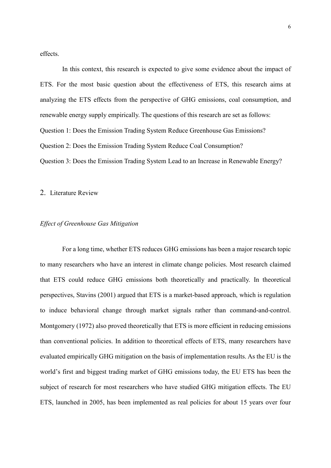effects.

In this context, this research is expected to give some evidence about the impact of ETS. For the most basic question about the effectiveness of ETS, this research aims at analyzing the ETS effects from the perspective of GHG emissions, coal consumption, and renewable energy supply empirically. The questions of this research are set as follows: Question 1: Does the Emission Trading System Reduce Greenhouse Gas Emissions? Question 2: Does the Emission Trading System Reduce Coal Consumption? Question 3: Does the Emission Trading System Lead to an Increase in Renewable Energy?

#### 2. Literature Review

#### *Effect of Greenhouse Gas Mitigation*

For a long time, whether ETS reduces GHG emissions has been a major research topic to many researchers who have an interest in climate change policies. Most research claimed that ETS could reduce GHG emissions both theoretically and practically. In theoretical perspectives, Stavins (2001) argued that ETS is a market-based approach, which is regulation to induce behavioral change through market signals rather than command-and-control. Montgomery (1972) also proved theoretically that ETS is more efficient in reducing emissions than conventional policies. In addition to theoretical effects of ETS, many researchers have evaluated empirically GHG mitigation on the basis of implementation results. As the EU is the world's first and biggest trading market of GHG emissions today, the EU ETS has been the subject of research for most researchers who have studied GHG mitigation effects. The EU ETS, launched in 2005, has been implemented as real policies for about 15 years over four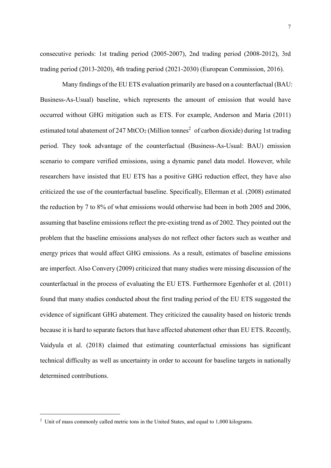consecutive periods: 1st trading period (2005-2007), 2nd trading period (2008-2012), 3rd trading period (2013-2020), 4th trading period (2021-2030) (European Commission, 2016).

Many findings of the EU ETS evaluation primarily are based on a counterfactual (BAU: Business-As-Usual) baseline, which represents the amount of emission that would have occurred without GHG mitigation such as ETS. For example, Anderson and Maria (2011) estimated total abatement of 247 MtCO<sub>2</sub> (Million tonnes<sup>2</sup> of carbon dioxide) during 1st trading period. They took advantage of the counterfactual (Business-As-Usual: BAU) emission scenario to compare verified emissions, using a dynamic panel data model. However, while researchers have insisted that EU ETS has a positive GHG reduction effect, they have also criticized the use of the counterfactual baseline. Specifically, Ellerman et al. (2008) estimated the reduction by 7 to 8% of what emissions would otherwise had been in both 2005 and 2006, assuming that baseline emissions reflect the pre-existing trend as of 2002. They pointed out the problem that the baseline emissions analyses do not reflect other factors such as weather and energy prices that would affect GHG emissions. As a result, estimates of baseline emissions are imperfect. Also Convery (2009) criticized that many studies were missing discussion of the counterfactual in the process of evaluating the EU ETS. Furthermore Egenhofer et al. (2011) found that many studies conducted about the first trading period of the EU ETS suggested the evidence of significant GHG abatement. They criticized the causality based on historic trends because it is hard to separate factors that have affected abatement other than EU ETS. Recently, Vaidyula et al. (2018) claimed that estimating counterfactual emissions has significant technical difficulty as well as uncertainty in order to account for baseline targets in nationally determined contributions.

-

<sup>&</sup>lt;sup>2</sup> Unit of mass commonly called metric tons in the United States, and equal to 1,000 kilograms.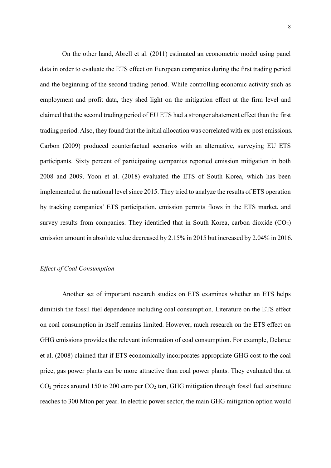On the other hand, Abrell et al. (2011) estimated an econometric model using panel data in order to evaluate the ETS effect on European companies during the first trading period and the beginning of the second trading period. While controlling economic activity such as employment and profit data, they shed light on the mitigation effect at the firm level and claimed that the second trading period of EU ETS had a stronger abatement effect than the first trading period. Also, they found that the initial allocation was correlated with ex-post emissions. Carbon (2009) produced counterfactual scenarios with an alternative, surveying EU ETS participants. Sixty percent of participating companies reported emission mitigation in both 2008 and 2009. Yoon et al. (2018) evaluated the ETS of South Korea, which has been implemented at the national level since 2015. They tried to analyze the results of ETS operation by tracking companies' ETS participation, emission permits flows in the ETS market, and survey results from companies. They identified that in South Korea, carbon dioxide  $(CO<sub>2</sub>)$ emission amount in absolute value decreased by 2.15% in 2015 but increased by 2.04% in 2016.

#### *Effect of Coal Consumption*

Another set of important research studies on ETS examines whether an ETS helps diminish the fossil fuel dependence including coal consumption. Literature on the ETS effect on coal consumption in itself remains limited. However, much research on the ETS effect on GHG emissions provides the relevant information of coal consumption. For example, Delarue et al. (2008) claimed that if ETS economically incorporates appropriate GHG cost to the coal price, gas power plants can be more attractive than coal power plants. They evaluated that at  $CO<sub>2</sub>$  prices around 150 to 200 euro per  $CO<sub>2</sub>$  ton, GHG mitigation through fossil fuel substitute reaches to 300 Mton per year. In electric power sector, the main GHG mitigation option would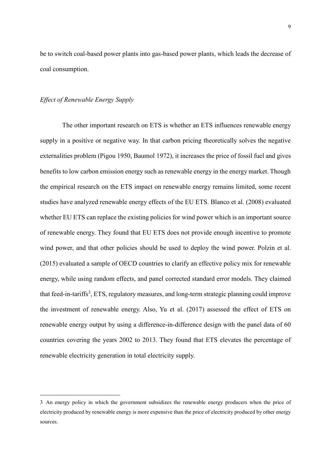be to switch coal-based power plants into gas-based power plants, which leads the decrease of coal consumption.

#### *Effect of Renewable Energy Supply*

-

The other important research on ETS is whether an ETS influences renewable energy supply in a positive or negative way. In that carbon pricing theoretically solves the negative externalities problem (Pigou 1950, Baumol 1972), it increases the price of fossil fuel and gives benefits to low carbon emission energy such as renewable energy in the energy market. Though the empirical research on the ETS impact on renewable energy remains limited, some recent studies have analyzed renewable energy effects of the EU ETS. Blanco et al. (2008) evaluated whether EU ETS can replace the existing policies for wind power which is an important source of renewable energy. They found that EU ETS does not provide enough incentive to promote wind power, and that other policies should be used to deploy the wind power. Polzin et al. (2015) evaluated a sample of OECD countries to clarify an effective policy mix for renewable energy, while using random effects, and panel corrected standard error models. They claimed that feed-in-tariffs<sup>3</sup>, ETS, regulatory measures, and long-term strategic planning could improve the investment of renewable energy. Also, Yu et al. (2017) assessed the effect of ETS on renewable energy output by using a difference-in-difference design with the panel data of 60 countries covering the years 2002 to 2013. They found that ETS elevates the percentage of renewable electricity generation in total electricity supply.

<sup>3</sup> An energy policy in which the government subsidizes the renewable energy producers when the price of electricity produced by renewable energy is more expensive than the price of electricity produced by other energy sources.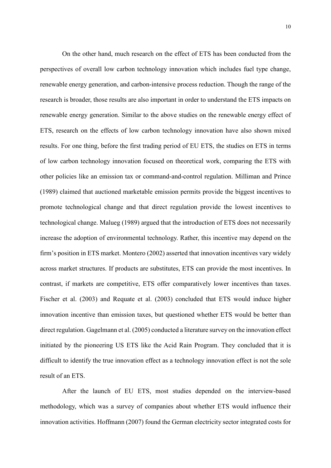On the other hand, much research on the effect of ETS has been conducted from the perspectives of overall low carbon technology innovation which includes fuel type change, renewable energy generation, and carbon-intensive process reduction. Though the range of the research is broader, those results are also important in order to understand the ETS impacts on renewable energy generation. Similar to the above studies on the renewable energy effect of ETS, research on the effects of low carbon technology innovation have also shown mixed results. For one thing, before the first trading period of EU ETS, the studies on ETS in terms of low carbon technology innovation focused on theoretical work, comparing the ETS with other policies like an emission tax or command-and-control regulation. Milliman and Prince (1989) claimed that auctioned marketable emission permits provide the biggest incentives to promote technological change and that direct regulation provide the lowest incentives to technological change. Malueg (1989) argued that the introduction of ETS does not necessarily increase the adoption of environmental technology. Rather, this incentive may depend on the firm's position in ETS market. Montero (2002) asserted that innovation incentives vary widely across market structures. If products are substitutes, ETS can provide the most incentives. In contrast, if markets are competitive, ETS offer comparatively lower incentives than taxes. Fischer et al. (2003) and Requate et al. (2003) concluded that ETS would induce higher innovation incentive than emission taxes, but questioned whether ETS would be better than direct regulation. Gagelmann et al. (2005) conducted a literature survey on the innovation effect initiated by the pioneering US ETS like the Acid Rain Program. They concluded that it is difficult to identify the true innovation effect as a technology innovation effect is not the sole result of an ETS.

After the launch of EU ETS, most studies depended on the interview-based methodology, which was a survey of companies about whether ETS would influence their innovation activities. Hoffmann (2007) found the German electricity sector integrated costs for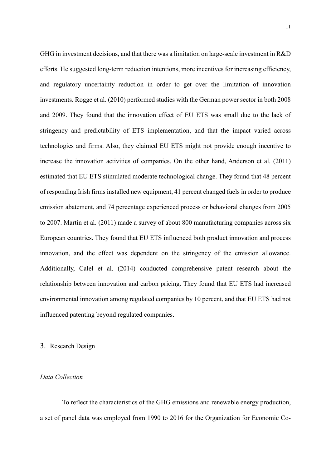GHG in investment decisions, and that there was a limitation on large-scale investment in R&D efforts. He suggested long-term reduction intentions, more incentives for increasing efficiency, and regulatory uncertainty reduction in order to get over the limitation of innovation investments. Rogge et al. (2010) performed studies with the German power sector in both 2008 and 2009. They found that the innovation effect of EU ETS was small due to the lack of stringency and predictability of ETS implementation, and that the impact varied across technologies and firms. Also, they claimed EU ETS might not provide enough incentive to increase the innovation activities of companies. On the other hand, Anderson et al. (2011) estimated that EU ETS stimulated moderate technological change. They found that 48 percent of responding Irish firms installed new equipment, 41 percent changed fuels in order to produce emission abatement, and 74 percentage experienced process or behavioral changes from 2005 to 2007. Martin et al. (2011) made a survey of about 800 manufacturing companies across six European countries. They found that EU ETS influenced both product innovation and process innovation, and the effect was dependent on the stringency of the emission allowance. Additionally, Calel et al. (2014) conducted comprehensive patent research about the relationship between innovation and carbon pricing. They found that EU ETS had increased environmental innovation among regulated companies by 10 percent, and that EU ETS had not influenced patenting beyond regulated companies.

#### 3. Research Design

# *Data Collection*

To reflect the characteristics of the GHG emissions and renewable energy production, a set of panel data was employed from 1990 to 2016 for the Organization for Economic Co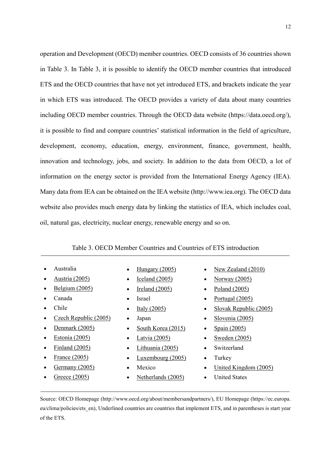operation and Development (OECD) member countries. OECD consists of 36 countries shown in Table 3. In Table 3, it is possible to identify the OECD member countries that introduced ETS and the OECD countries that have not yet introduced ETS, and brackets indicate the year in which ETS was introduced. The OECD provides a variety of data about many countries including OECD member countries. Through the OECD data website (https://data.oecd.org/), it is possible to find and compare countries' statistical information in the field of agriculture, development, economy, education, energy, environment, finance, government, health, innovation and technology, jobs, and society. In addition to the data from OECD, a lot of information on the energy sector is provided from the International Energy Agency (IEA). Many data from IEA can be obtained on the IEA website (http://www.iea.org). The OECD data website also provides much energy data by linking the statistics of IEA, which includes coal, oil, natural gas, electricity, nuclear energy, renewable energy and so on.

#### Table 3. OECD Member Countries and Countries of ETS introduction

- [Australia](http://www.oecd.org/australia/)
- [Austria](http://www.oecd.org/austria/) (2005)
- [Belgium](http://www.oecd.org/belgium/) (2005)
- [Canada](http://www.oecd.org/canada/)
- [Chile](http://www.oecd.org/chile/)
- Czech [Republic](http://www.oecd.org/czech/) (2005)
- [Denmark](http://www.oecd.org/denmark/)  $(2005)$
- [Estonia](http://www.oecd.org/estonia/) (2005)
- [Finland](http://www.oecd.org/finland/) (2005)
- [France](http://www.oecd.org/france/) (2005)
- [Germany](http://www.oecd.org/germany/) (2005)
- [Greece](http://www.oecd.org/greece/) (2005)
- $Hungary (2005)$  $Hungary (2005)$
- [Iceland](http://www.oecd.org/iceland/) (2005)
- [Ireland](http://www.oecd.org/ireland/)  $(2005)$
- [Israel](http://www.oecd.org/israel/)
- [Italy](http://www.oecd.org/italy/) (2005)
- [Japan](http://www.oecd.org/japan/)
- South [Korea](http://www.oecd.org/korea/) (2015)
- [Latvia](http://www.oecd.org/latvia/) (2005)
- [Lithuania](http://www.oecd.org/countries/lithuania/) (2005)
- [Luxembourg](http://www.oecd.org/luxembourg/) (2005)
- [Mexico](http://www.oecd.org/mexico/)
- [Netherlands](http://www.oecd.org/netherlands/) (2005)
- New Zealand (2010)
- Norway (2005)
- Poland  $(2005)$
- Portugal (2005)
- Slovak Republic (2005)
- Slovenia (2005)
- Spain  $(2005)$
- Sweden (2005)
- **Switzerland**
- Turkey
- United Kingdom (2005)
- United States

Source: OECD Homepage [\(http://www.oecd.org/about/membersandpartners/\)](http://www.oecd.org/about/membersandpartners/), EU Homepage (https://ec.europa. eu/clima/policies/ets\_en), Underlined countries are countries that implement ETS, and in parentheses is start year of the ETS.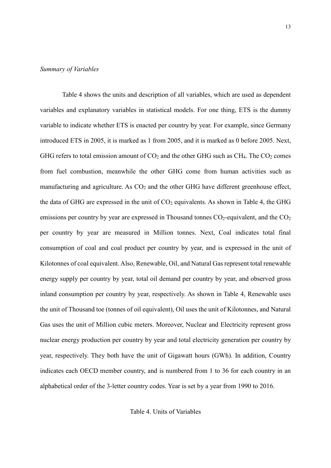#### *Summary of Variables*

Table 4 shows the units and description of all variables, which are used as dependent variables and explanatory variables in statistical models. For one thing, ETS is the dummy variable to indicate whether ETS is enacted per country by year. For example, since Germany introduced ETS in 2005, it is marked as 1 from 2005, and it is marked as 0 before 2005. Next, GHG refers to total emission amount of  $CO<sub>2</sub>$  and the other GHG such as  $CH<sub>4</sub>$ . The  $CO<sub>2</sub>$  comes from fuel combustion, meanwhile the other GHG come from human activities such as manufacturing and agriculture. As  $CO<sub>2</sub>$  and the other GHG have different greenhouse effect, the data of GHG are expressed in the unit of  $CO<sub>2</sub>$  equivalents. As shown in Table 4, the GHG emissions per country by year are expressed in Thousand tonnes  $CO<sub>2</sub>$ -equivalent, and the  $CO<sub>2</sub>$ per country by year are measured in Million tonnes. Next, Coal indicates total final consumption of coal and coal product per country by year, and is expressed in the unit of Kilotonnes of coal equivalent. Also, Renewable, Oil, and Natural Gas represent total renewable energy supply per country by year, total oil demand per country by year, and observed gross inland consumption per country by year, respectively. As shown in Table 4, Renewable uses the unit of Thousand toe (tonnes of oil equivalent), Oil uses the unit of Kilotonnes, and Natural Gas uses the unit of Million cubic meters. Moreover, Nuclear and Electricity represent gross nuclear energy production per country by year and total electricity generation per country by year, respectively. They both have the unit of Gigawatt hours (GWh). In addition, Country indicates each OECD member country, and is numbered from 1 to 36 for each country in an alphabetical order of the 3-letter country codes. Year is set by a year from 1990 to 2016.

Table 4. Units of Variables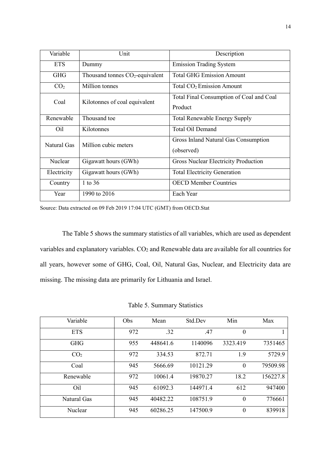| Variable        | Unit                              | Description                                         |
|-----------------|-----------------------------------|-----------------------------------------------------|
| <b>ETS</b>      | Dummy                             | <b>Emission Trading System</b>                      |
| <b>GHG</b>      | Thousand tonnes $CO2$ -equivalent | <b>Total GHG Emission Amount</b>                    |
| CO <sub>2</sub> | Million tonnes                    | Total CO <sub>2</sub> Emission Amount               |
| Coal            | Kilotonnes of coal equivalent     | Total Final Consumption of Coal and Coal<br>Product |
| Renewable       | Thousand toe                      | <b>Total Renewable Energy Supply</b>                |
| Oil             | Kilotonnes                        | Total Oil Demand                                    |
| Natural Gas     | Million cubic meters              | Gross Inland Natural Gas Consumption<br>(observed)  |
| Nuclear         | Gigawatt hours (GWh)              | <b>Gross Nuclear Electricity Production</b>         |
| Electricity     | Gigawatt hours (GWh)              | <b>Total Electricity Generation</b>                 |
| Country         | 1 to 36                           | <b>OECD Member Countries</b>                        |
| Year            | 1990 to 2016                      | Each Year                                           |

Source: [Data extracted on 09 Feb 2019 17:04 UTC \(GMT\) from OECD.Stat](https://stats-1.oecd.org/)

The Table 5 shows the summary statistics of all variables, which are used as dependent variables and explanatory variables. CO<sub>2</sub> and Renewable data are available for all countries for all years, however some of GHG, Coal, Oil, Natural Gas, Nuclear, and Electricity data are missing. The missing data are primarily for Lithuania and Israel.

Table 5. Summary Statistics

| Variable        | Obs | Mean     | Std.Dev  | Min      | Max      |
|-----------------|-----|----------|----------|----------|----------|
| <b>ETS</b>      | 972 | .32      | .47      | 0        |          |
| <b>GHG</b>      | 955 | 448641.6 | 1140096  | 3323.419 | 7351465  |
| CO <sub>2</sub> | 972 | 334.53   | 872.71   | 1.9      | 5729.9   |
| Coal            | 945 | 5666.69  | 10121.29 | $\theta$ | 79509.98 |
| Renewable       | 972 | 10061.4  | 19870.27 | 18.2     | 156227.8 |
| Oil             | 945 | 61092.3  | 144971.4 | 612      | 947400   |
| Natural Gas     | 945 | 40482.22 | 108751.9 | $\theta$ | 776661   |
| Nuclear         | 945 | 60286.25 | 147500.9 | $\theta$ | 839918   |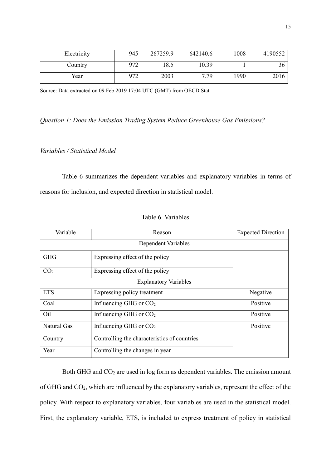| Electricity | 945 | 267259.9 | 642140.6 | 1008 | 4190552 |
|-------------|-----|----------|----------|------|---------|
| Country     | 972 | 18.5     | 10.39    |      | 36      |
| Year        | 972 | 2003     | 7.79     | 1990 | 2016    |

Source: [Data extracted on 09 Feb 2019 17:04 UTC \(GMT\) from OECD.Stat](https://stats-1.oecd.org/)

*Question 1: Does the Emission Trading System Reduce Greenhouse Gas Emissions?*

# *Variables / Statistical Model*

Table 6 summarizes the dependent variables and explanatory variables in terms of reasons for inclusion, and expected direction in statistical model.

| Variable                     | Reason                                       | <b>Expected Direction</b> |  |  |  |  |
|------------------------------|----------------------------------------------|---------------------------|--|--|--|--|
|                              | Dependent Variables                          |                           |  |  |  |  |
| <b>GHG</b>                   | Expressing effect of the policy              |                           |  |  |  |  |
| CO <sub>2</sub>              | Expressing effect of the policy              |                           |  |  |  |  |
| <b>Explanatory Variables</b> |                                              |                           |  |  |  |  |
| <b>ETS</b>                   | Expressing policy treatment                  | Negative                  |  |  |  |  |
| Coal                         | Influencing GHG or CO <sub>2</sub>           | Positive                  |  |  |  |  |
| Oil                          | Influencing GHG or $CO2$                     | Positive                  |  |  |  |  |
| Natural Gas                  | Influencing GHG or $CO2$                     | Positive                  |  |  |  |  |
| Country                      | Controlling the characteristics of countries |                           |  |  |  |  |
| Year                         | Controlling the changes in year              |                           |  |  |  |  |

Table 6. Variables

Both GHG and CO<sub>2</sub> are used in log form as dependent variables. The emission amount of GHG and CO2, which are influenced by the explanatory variables, represent the effect of the policy. With respect to explanatory variables, four variables are used in the statistical model. First, the explanatory variable, ETS, is included to express treatment of policy in statistical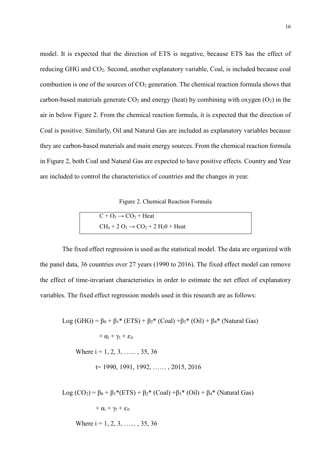model. It is expected that the direction of ETS is negative, because ETS has the effect of reducing GHG and CO2. Second, another explanatory variable, Coal, is included because coal combustion is one of the sources of  $CO<sub>2</sub>$  generation. The chemical reaction formula shows that carbon-based materials generate  $CO<sub>2</sub>$  and energy (heat) by combining with oxygen  $(O<sub>2</sub>)$  in the air in below Figure 2. From the chemical reaction formula, it is expected that the direction of Coal is positive. Similarly, Oil and Natural Gas are included as explanatory variables because they are carbon-based materials and main energy sources. From the chemical reaction formula in Figure 2, both Coal and Natural Gas are expected to have positive effects. Country and Year are included to control the characteristics of countries and the changes in year.

Figure 2. Chemical Reaction Formula

| $C + O_2 \rightarrow CO_2 + Heat$               |  |
|-------------------------------------------------|--|
| $CH_4 + 2 O_2 \rightarrow CO_2 + 2 H_20 + Heat$ |  |

The fixed effect regression is used as the statistical model. The data are organized with the panel data, 36 countries over 27 years (1990 to 2016). The fixed effect model can remove the effect of time-invariant characteristics in order to estimate the net effect of explanatory variables. The fixed effect regression models used in this research are as follows:

Log (GHG) =  $\beta_0 + \beta_1$ <sup>\*</sup> (ETS) +  $\beta_2$ <sup>\*</sup> (Coal) + $\beta_3$ <sup>\*</sup> (Oil) +  $\beta_4$ <sup>\*</sup> (Natural Gas)  $+ \alpha_i + \gamma_t + \varepsilon_{it}$ Where  $i = 1, 2, 3, \ldots, 35, 36$ t= 1990, 1991, 1992, …… , 2015, 2016

Log  $(CO_2) = \beta_0 + \beta_1 * (ETS) + \beta_2 * (Coal) + \beta_3 * (Oil) + \beta_4 * (Natural Gas)$ 

 $+ \alpha_i + \gamma_t + \varepsilon_{it}$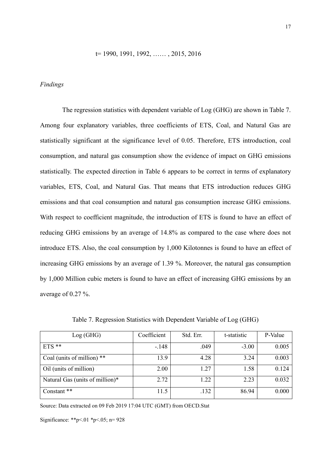#### t= 1990, 1991, 1992, …… , 2015, 2016

#### *Findings*

The regression statistics with dependent variable of Log (GHG) are shown in Table 7. Among four explanatory variables, three coefficients of ETS, Coal, and Natural Gas are statistically significant at the significance level of 0.05. Therefore, ETS introduction, coal consumption, and natural gas consumption show the evidence of impact on GHG emissions statistically. The expected direction in Table 6 appears to be correct in terms of explanatory variables, ETS, Coal, and Natural Gas. That means that ETS introduction reduces GHG emissions and that coal consumption and natural gas consumption increase GHG emissions. With respect to coefficient magnitude, the introduction of ETS is found to have an effect of reducing GHG emissions by an average of 14.8% as compared to the case where does not introduce ETS. Also, the coal consumption by 1,000 Kilotonnes is found to have an effect of increasing GHG emissions by an average of 1.39 %. Moreover, the natural gas consumption by 1,000 Million cubic meters is found to have an effect of increasing GHG emissions by an average of 0.27 %.

| Log(GHG)                        | Coefficient | Std. Err. | t-statistic | P-Value |
|---------------------------------|-------------|-----------|-------------|---------|
| $ETS$ **                        | $-148$      | .049      | $-3.00$     | 0.005   |
| Coal (units of million) **      | 13.9        | 4.28      | 3.24        | 0.003   |
| Oil (units of million)          | 2.00        | 1.27      | 1.58        | 0.124   |
| Natural Gas (units of million)* | 2.72        | 1.22      | 2.23        | 0.032   |
| Constant **                     | 11.5        | .132      | 86.94       | 0.000   |

Table 7. Regression Statistics with Dependent Variable of Log (GHG)

Source: [Data extracted on 09 Feb 2019 17:04 UTC \(GMT\) from OECD.Stat](https://stats-1.oecd.org/)

Significance: \*\*p<.01 \*p<.05; n= 928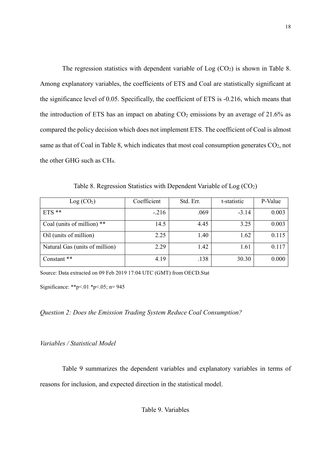The regression statistics with dependent variable of  $Log (CO<sub>2</sub>)$  is shown in Table 8. Among explanatory variables, the coefficients of ETS and Coal are statistically significant at the significance level of 0.05. Specifically, the coefficient of ETS is -0.216, which means that the introduction of ETS has an impact on abating  $CO<sub>2</sub>$  emissions by an average of 21.6% as compared the policy decision which does not implement ETS. The coefficient of Coal is almost same as that of Coal in Table 8, which indicates that most coal consumption generates  $CO<sub>2</sub>$ , not the other GHG such as CH4.

Table 8. Regression Statistics with Dependent Variable of  $Log (CO<sub>2</sub>)$ 

| Log (CO <sub>2</sub> )         | Coefficient | Std. Err. | t-statistic | P-Value |
|--------------------------------|-------------|-----------|-------------|---------|
| $ETS$ **                       | $-.216$     | .069      | $-3.14$     | 0.003   |
| Coal (units of million) **     | 14.5        | 4.45      | 3.25        | 0.003   |
| Oil (units of million)         | 2.25        | 1.40      | 1.62        | 0.115   |
| Natural Gas (units of million) | 2.29        | 1.42      | 1.61        | 0.117   |
| Constant **                    | 4.19        | .138      | 30.30       | 0.000   |

Source: [Data extracted on 09 Feb 2019 17:04 UTC \(GMT\) from OECD.Stat](https://stats-1.oecd.org/)

Significance: \*\*p<.01 \*p<.05; n= 945

*Question 2: Does the Emission Trading System Reduce Coal Consumption?*

*Variables / Statistical Model*

Table 9 summarizes the dependent variables and explanatory variables in terms of reasons for inclusion, and expected direction in the statistical model.

Table 9. Variables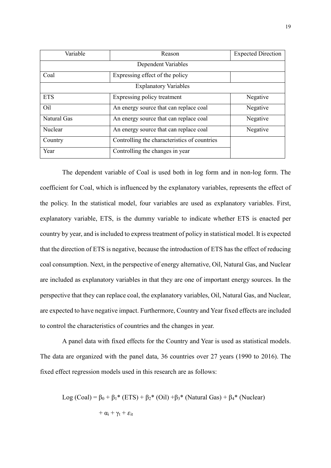| Variable    | Reason                                       | <b>Expected Direction</b> |  |  |  |  |
|-------------|----------------------------------------------|---------------------------|--|--|--|--|
|             |                                              |                           |  |  |  |  |
| Coal        | Expressing effect of the policy              |                           |  |  |  |  |
|             | <b>Explanatory Variables</b>                 |                           |  |  |  |  |
| <b>ETS</b>  | Expressing policy treatment                  | Negative                  |  |  |  |  |
| Oil         | An energy source that can replace coal       | Negative                  |  |  |  |  |
| Natural Gas | An energy source that can replace coal       | Negative                  |  |  |  |  |
| Nuclear     | An energy source that can replace coal       | Negative                  |  |  |  |  |
| Country     | Controlling the characteristics of countries |                           |  |  |  |  |
| Year        | Controlling the changes in year              |                           |  |  |  |  |

The dependent variable of Coal is used both in log form and in non-log form. The coefficient for Coal, which is influenced by the explanatory variables, represents the effect of the policy. In the statistical model, four variables are used as explanatory variables. First, explanatory variable, ETS, is the dummy variable to indicate whether ETS is enacted per country by year, and is included to express treatment of policy in statistical model. It is expected that the direction of ETS is negative, because the introduction of ETS has the effect of reducing coal consumption. Next, in the perspective of energy alternative, Oil, Natural Gas, and Nuclear are included as explanatory variables in that they are one of important energy sources. In the perspective that they can replace coal, the explanatory variables, Oil, Natural Gas, and Nuclear, are expected to have negative impact. Furthermore, Country and Year fixed effects are included to control the characteristics of countries and the changes in year.

A panel data with fixed effects for the Country and Year is used as statistical models. The data are organized with the panel data, 36 countries over 27 years (1990 to 2016). The fixed effect regression models used in this research are as follows:

Log (Coal) = 
$$
\beta_0 + \beta_1
$$
\*(ETS) +  $\beta_2$ \*(Oil) + $\beta_3$ \*(Natural Gas) +  $\beta_4$ \*(Nuclear)  
+  $\alpha_i + \gamma_t + \varepsilon_{it}$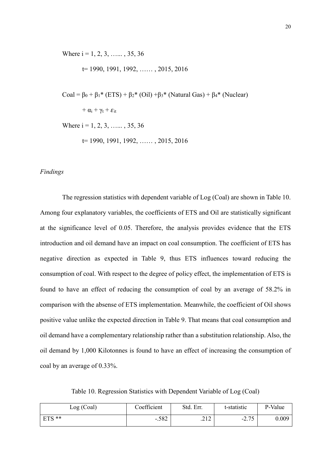Where  $i = 1, 2, 3, \ldots, 35, 36$ 

t= 1990, 1991, 1992, …… , 2015, 2016

$$
Coal = \beta_0 + \beta_1 * (ETS) + \beta_2 * (Oil) + \beta_3 * (Natural Gas) + \beta_4 * (Nuclear)
$$

 $+ \alpha_i + \gamma_t + \varepsilon_{it}$ 

Where  $i = 1, 2, 3, \ldots, 35, 36$ 

t= 1990, 1991, 1992, …… , 2015, 2016

# *Findings*

The regression statistics with dependent variable of Log (Coal) are shown in Table 10. Among four explanatory variables, the coefficients of ETS and Oil are statistically significant at the significance level of 0.05. Therefore, the analysis provides evidence that the ETS introduction and oil demand have an impact on coal consumption. The coefficient of ETS has negative direction as expected in Table 9, thus ETS influences toward reducing the consumption of coal. With respect to the degree of policy effect, the implementation of ETS is found to have an effect of reducing the consumption of coal by an average of 58.2% in comparison with the absense of ETS implementation. Meanwhile, the coefficient of Oil shows positive value unlike the expected direction in Table 9. That means that coal consumption and oil demand have a complementary relationship rather than a substitution relationship. Also, the oil demand by 1,000 Kilotonnes is found to have an effect of increasing the consumption of coal by an average of 0.33%.

Table 10. Regression Statistics with Dependent Variable of Log (Coal)

| Log (Coal) | Coefficient | Std. Err. | t-statistic    | P-Value |
|------------|-------------|-----------|----------------|---------|
| $ETS **$   | $-.582$     | .212      | 275<br>$-2.13$ | 0.009   |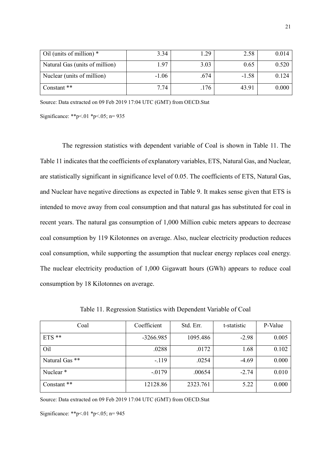| $\vert$ Oil (units of million) $*$ | 3.34    | 1.29 | 2.58    | 0.014 |
|------------------------------------|---------|------|---------|-------|
| Natural Gas (units of million)     | 1.97    | 3.03 | 0.65    | 0.520 |
| Nuclear (units of million)         | $-1.06$ | .674 | $-1.58$ | 0.124 |
| Constant **                        | 7.74    | .176 | 43.91   | 0.000 |

Source: Data [extracted on 09 Feb 2019 17:04 UTC \(GMT\) from OECD.Stat](https://stats-1.oecd.org/)

Significance: \*\*p<.01 \*p<.05; n= 935

The regression statistics with dependent variable of Coal is shown in Table 11. The Table 11 indicates that the coefficients of explanatory variables, ETS, Natural Gas, and Nuclear, are statistically significant in significance level of 0.05. The coefficients of ETS, Natural Gas, and Nuclear have negative directions as expected in Table 9. It makes sense given that ETS is intended to move away from coal consumption and that natural gas has substituted for coal in recent years. The natural gas consumption of 1,000 Million cubic meters appears to decrease coal consumption by 119 Kilotonnes on average. Also, nuclear electricity production reduces coal consumption, while supporting the assumption that nuclear energy replaces coal energy. The nuclear electricity production of 1,000 Gigawatt hours (GWh) appears to reduce coal consumption by 18 Kilotonnes on average.

| Coal           | Coefficient | Std. Err. | t-statistic | P-Value |
|----------------|-------------|-----------|-------------|---------|
| $ETS$ **       | $-3266.985$ | 1095.486  | $-2.98$     | 0.005   |
| Oil            | .0288       | .0172     | 1.68        | 0.102   |
| Natural Gas ** | $-119$      | .0254     | $-4.69$     | 0.000   |
| Nuclear*       | $-0179$     | .00654    | $-2.74$     | 0.010   |
| Constant **    | 12128.86    | 2323.761  | 5.22        | 0.000   |

Table 11. Regression Statistics with Dependent Variable of Coal

Source: [Data extracted on 09 Feb 2019 17:04 UTC \(GMT\) from OECD.Stat](https://stats-1.oecd.org/)

Significance: \*\*p<.01 \*p<.05; n= 945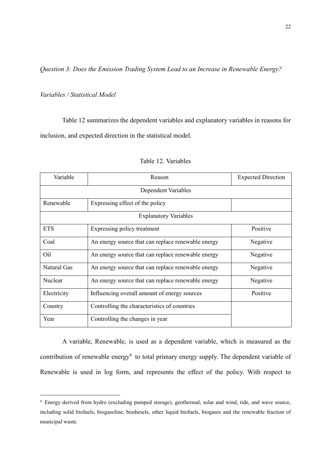*Question 3: Does the Emission Trading System Lead to an Increase in Renewable Energy?*

# *Variables / Statistical Model*

-

Table 12 summarizes the dependent variables and explanatory variables in reasons for inclusion, and expected direction in the statistical model.

| Variable                     | Reason                                             | <b>Expected Direction</b> |  |
|------------------------------|----------------------------------------------------|---------------------------|--|
|                              | Dependent Variables                                |                           |  |
| Renewable                    | Expressing effect of the policy                    |                           |  |
| <b>Explanatory Variables</b> |                                                    |                           |  |
| <b>ETS</b>                   | Expressing policy treatment                        | Positive                  |  |
| Coal                         | An energy source that can replace renewable energy | Negative                  |  |
| Oil                          | An energy source that can replace renewable energy | Negative                  |  |
| Natural Gas                  | An energy source that can replace renewable energy | Negative                  |  |
| Nuclear                      | An energy source that can replace renewable energy | Negative                  |  |
| Electricity                  | Influencing overall amount of energy sources       | Positive                  |  |
| Country                      | Controlling the characteristics of countries       |                           |  |
| Year                         | Controlling the changes in year                    |                           |  |

#### Table 12. Variables

A variable, Renewable, is used as a dependent variable, which is measured as the contribution of renewable energy<sup>4</sup> to total primary energy supply. The dependent variable of Renewable is used in log form, and represents the effect of the policy. With respect to

<sup>4</sup> Energy derived from hydro (excluding pumped storage), geothermal, solar and wind, tide, and wave source, including solid biofuels, biogasoline, biodiesels, other liquid biofuels, biogases and the renewable fraction of municipal waste.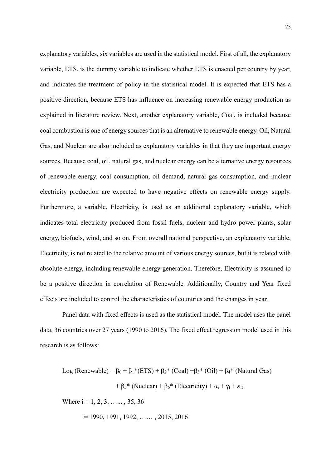explanatory variables, six variables are used in the statistical model. First of all, the explanatory variable, ETS, is the dummy variable to indicate whether ETS is enacted per country by year, and indicates the treatment of policy in the statistical model. It is expected that ETS has a positive direction, because ETS has influence on increasing renewable energy production as explained in literature review. Next, another explanatory variable, Coal, is included because coal combustion is one of energy sources that is an alternative to renewable energy. Oil, Natural Gas, and Nuclear are also included as explanatory variables in that they are important energy sources. Because coal, oil, natural gas, and nuclear energy can be alternative energy resources of renewable energy, coal consumption, oil demand, natural gas consumption, and nuclear electricity production are expected to have negative effects on renewable energy supply. Furthermore, a variable, Electricity, is used as an additional explanatory variable, which indicates total electricity produced from fossil fuels, nuclear and hydro power plants, solar energy, biofuels, wind, and so on. From overall national perspective, an explanatory variable, Electricity, is not related to the relative amount of various energy sources, but it is related with absolute energy, including renewable energy generation. Therefore, Electricity is assumed to be a positive direction in correlation of Renewable. Additionally, Country and Year fixed effects are included to control the characteristics of countries and the changes in year.

Panel data with fixed effects is used as the statistical model. The model uses the panel data, 36 countries over 27 years (1990 to 2016). The fixed effect regression model used in this research is as follows:

Log (Renewable) =  $β_0 + β_1 * (ETS) + β_2 * (Coal) + β_3 * (Oil) + β_4 * (Natural Gas)$ +  $\beta_5$ \* (Nuclear) +  $\beta_6$ \* (Electricity) +  $\alpha_i$  +  $\gamma_t$  +  $\varepsilon_{it}$ 

Where  $i = 1, 2, 3, \ldots, 35, 36$ 

t= 1990, 1991, 1992, …… , 2015, 2016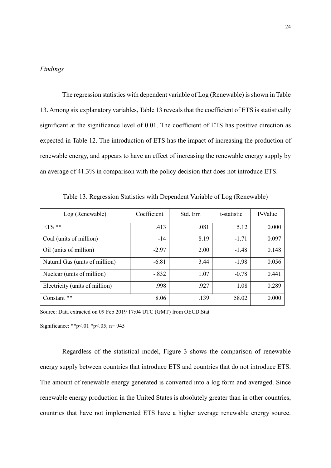# *Findings*

The regression statistics with dependent variable of Log (Renewable) is shown in Table 13. Among six explanatory variables, Table 13 reveals that the coefficient of ETS is statistically significant at the significance level of 0.01. The coefficient of ETS has positive direction as expected in Table 12. The introduction of ETS has the impact of increasing the production of renewable energy, and appears to have an effect of increasing the renewable energy supply by an average of 41.3% in comparison with the policy decision that does not introduce ETS.

| Log (Renewable)                | Coefficient | Std. Err. | t-statistic | P-Value |
|--------------------------------|-------------|-----------|-------------|---------|
| $ETS$ **                       | .413        | .081      | 5.12        | 0.000   |
| Coal (units of million)        | $-14$       | 8.19      | $-1.71$     | 0.097   |
| Oil (units of million)         | $-2.97$     | 2.00      | $-1.48$     | 0.148   |
| Natural Gas (units of million) | $-6.81$     | 3.44      | $-1.98$     | 0.056   |
| Nuclear (units of million)     | $-.832$     | 1.07      | $-0.78$     | 0.441   |
| Electricity (units of million) | .998        | .927      | 1.08        | 0.289   |
| Constant **                    | 8.06        | .139      | 58.02       | 0.000   |

Table 13. Regression Statistics with Dependent Variable of Log (Renewable)

Source: [Data extracted on 09 Feb 2019 17:04 UTC \(GMT\) from OECD.Stat](https://stats-1.oecd.org/)

Significance: \*\*p<.01 \*p<.05; n= 945

Regardless of the statistical model, Figure 3 shows the comparison of renewable energy supply between countries that introduce ETS and countries that do not introduce ETS. The amount of renewable energy generated is converted into a log form and averaged. Since renewable energy production in the United States is absolutely greater than in other countries, countries that have not implemented ETS have a higher average renewable energy source.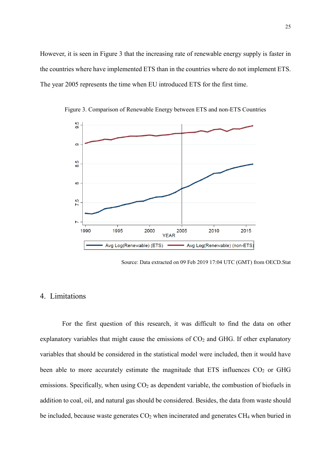However, it is seen in Figure 3 that the increasing rate of renewable energy supply is faster in the countries where have implemented ETS than in the countries where do not implement ETS. The year 2005 represents the time when EU introduced ETS for the first time.



Figure 3. Comparison of Renewable Energy between ETS and non-ETS Countries

Source: Data extracted on 09 [Feb 2019 17:04 UTC \(GMT\) from OECD.Stat](https://stats-1.oecd.org/)

# 4. Limitations

For the first question of this research, it was difficult to find the data on other explanatory variables that might cause the emissions of  $CO<sub>2</sub>$  and GHG. If other explanatory variables that should be considered in the statistical model were included, then it would have been able to more accurately estimate the magnitude that ETS influences  $CO<sub>2</sub>$  or GHG emissions. Specifically, when using CO<sub>2</sub> as dependent variable, the combustion of biofuels in addition to coal, oil, and natural gas should be considered. Besides, the data from waste should be included, because waste generates CO<sub>2</sub> when incinerated and generates CH<sub>4</sub> when buried in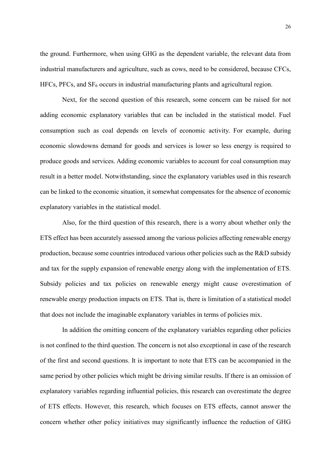the ground. Furthermore, when using GHG as the dependent variable, the relevant data from industrial manufacturers and agriculture, such as cows, need to be considered, because CFCs,  $HFCs$ , PFCs, and  $SF<sub>6</sub>$  occurs in industrial manufacturing plants and agricultural region.

Next, for the second question of this research, some concern can be raised for not adding economic explanatory variables that can be included in the statistical model. Fuel consumption such as coal depends on levels of economic activity. For example, during economic slowdowns demand for goods and services is lower so less energy is required to produce goods and services. Adding economic variables to account for coal consumption may result in a better model. Notwithstanding, since the explanatory variables used in this research can be linked to the economic situation, it somewhat compensates for the absence of economic explanatory variables in the statistical model.

Also, for the third question of this research, there is a worry about whether only the ETS effect has been accurately assessed among the various policies affecting renewable energy production, because some countries introduced various other policies such as the R&D subsidy and tax for the supply expansion of renewable energy along with the implementation of ETS. Subsidy policies and tax policies on renewable energy might cause overestimation of renewable energy production impacts on ETS. That is, there is limitation of a statistical model that does not include the imaginable explanatory variables in terms of policies mix.

In addition the omitting concern of the explanatory variables regarding other policies is not confined to the third question. The concern is not also exceptional in case of the research of the first and second questions. It is important to note that ETS can be accompanied in the same period by other policies which might be driving similar results. If there is an omission of explanatory variables regarding influential policies, this research can overestimate the degree of ETS effects. However, this research, which focuses on ETS effects, cannot answer the concern whether other policy initiatives may significantly influence the reduction of GHG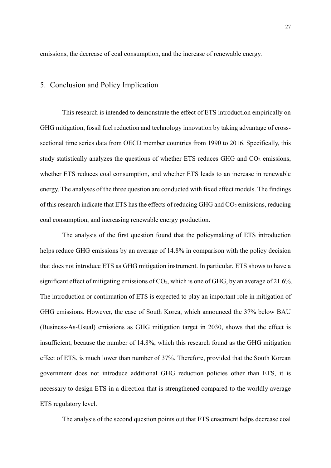emissions, the decrease of coal consumption, and the increase of renewable energy.

## 5. Conclusion and Policy Implication

This research is intended to demonstrate the effect of ETS introduction empirically on GHG mitigation, fossil fuel reduction and technology innovation by taking advantage of crosssectional time series data from OECD member countries from 1990 to 2016. Specifically, this study statistically analyzes the questions of whether ETS reduces GHG and  $CO<sub>2</sub>$  emissions, whether ETS reduces coal consumption, and whether ETS leads to an increase in renewable energy. The analyses of the three question are conducted with fixed effect models. The findings of this research indicate that ETS has the effects of reducing GHG and  $CO<sub>2</sub>$  emissions, reducing coal consumption, and increasing renewable energy production.

The analysis of the first question found that the policymaking of ETS introduction helps reduce GHG emissions by an average of 14.8% in comparison with the policy decision that does not introduce ETS as GHG mitigation instrument. In particular, ETS shows to have a significant effect of mitigating emissions of  $CO<sub>2</sub>$ , which is one of GHG, by an average of 21.6%. The introduction or continuation of ETS is expected to play an important role in mitigation of GHG emissions. However, the case of South Korea, which announced the 37% below BAU (Business-As-Usual) emissions as GHG mitigation target in 2030, shows that the effect is insufficient, because the number of 14.8%, which this research found as the GHG mitigation effect of ETS, is much lower than number of 37%. Therefore, provided that the South Korean government does not introduce additional GHG reduction policies other than ETS, it is necessary to design ETS in a direction that is strengthened compared to the worldly average ETS regulatory level.

The analysis of the second question points out that ETS enactment helps decrease coal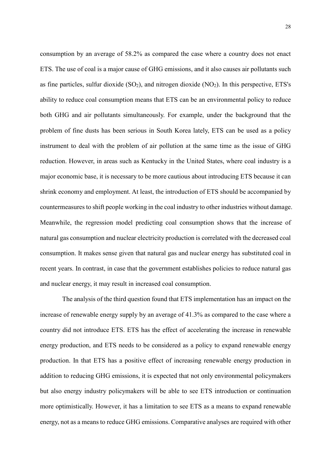consumption by an average of 58.2% as compared the case where a country does not enact ETS. The use of coal is a major cause of GHG emissions, and it also causes air pollutants such as fine particles, sulfur dioxide  $(SO_2)$ , and nitrogen dioxide  $(NO_2)$ . In this perspective, ETS's ability to reduce coal consumption means that ETS can be an environmental policy to reduce both GHG and air pollutants simultaneously. For example, under the background that the problem of fine dusts has been serious in South Korea lately, ETS can be used as a policy instrument to deal with the problem of air pollution at the same time as the issue of GHG reduction. However, in areas such as Kentucky in the United States, where coal industry is a major economic base, it is necessary to be more cautious about introducing ETS because it can shrink economy and employment. At least, the introduction of ETS should be accompanied by countermeasures to shift people working in the coal industry to other industries without damage. Meanwhile, the regression model predicting coal consumption shows that the increase of natural gas consumption and nuclear electricity production is correlated with the decreased coal consumption. It makes sense given that natural gas and nuclear energy has substituted coal in recent years. In contrast, in case that the government establishes policies to reduce natural gas and nuclear energy, it may result in increased coal consumption.

The analysis of the third question found that ETS implementation has an impact on the increase of renewable energy supply by an average of 41.3% as compared to the case where a country did not introduce ETS. ETS has the effect of accelerating the increase in renewable energy production, and ETS needs to be considered as a policy to expand renewable energy production. In that ETS has a positive effect of increasing renewable energy production in addition to reducing GHG emissions, it is expected that not only environmental policymakers but also energy industry policymakers will be able to see ETS introduction or continuation more optimistically. However, it has a limitation to see ETS as a means to expand renewable energy, not as a means to reduce GHG emissions. Comparative analyses are required with other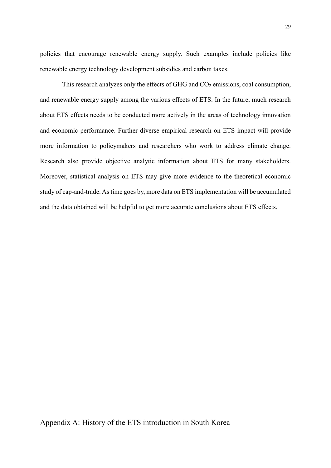policies that encourage renewable energy supply. Such examples include policies like renewable energy technology development subsidies and carbon taxes.

This research analyzes only the effects of GHG and  $CO<sub>2</sub>$  emissions, coal consumption, and renewable energy supply among the various effects of ETS. In the future, much research about ETS effects needs to be conducted more actively in the areas of technology innovation and economic performance. Further diverse empirical research on ETS impact will provide more information to policymakers and researchers who work to address climate change. Research also provide objective analytic information about ETS for many stakeholders. Moreover, statistical analysis on ETS may give more evidence to the theoretical economic study of cap-and-trade. As time goes by, more data on ETS implementation will be accumulated and the data obtained will be helpful to get more accurate conclusions about ETS effects.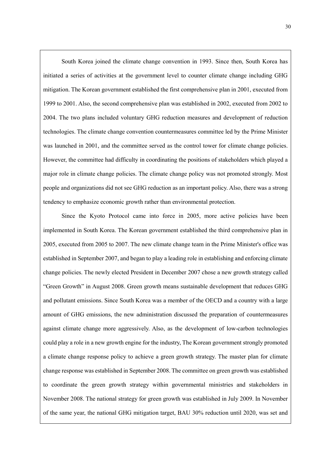South Korea joined the climate change convention in 1993. Since then, South Korea has initiated a series of activities at the government level to counter climate change including GHG mitigation. The Korean government established the first comprehensive plan in 2001, executed from 1999 to 2001. Also, the second comprehensive plan was established in 2002, executed from 2002 to 2004. The two plans included voluntary GHG reduction measures and development of reduction technologies. The climate change convention countermeasures committee led by the Prime Minister was launched in 2001, and the committee served as the control tower for climate change policies. However, the committee had difficulty in coordinating the positions of stakeholders which played a major role in climate change policies. The climate change policy was not promoted strongly. Most people and organizations did not see GHG reduction as an important policy. Also, there was a strong tendency to emphasize economic growth rather than environmental protection.

٦

 Since the Kyoto Protocol came into force in 2005, more active policies have been implemented in South Korea. The Korean government established the third comprehensive plan in 2005, executed from 2005 to 2007. The new climate change team in the Prime Minister's office was established in September 2007, and began to play a leading role in establishing and enforcing climate change policies. The newly elected President in December 2007 chose a new growth strategy called "Green Growth" in August 2008. Green growth means sustainable development that reduces GHG and pollutant emissions. Since South Korea was a member of the OECD and a country with a large amount of GHG emissions, the new administration discussed the preparation of countermeasures against climate change more aggressively. Also, as the development of low-carbon technologies could play a role in a new growth engine for the industry, The Korean government strongly promoted a climate change response policy to achieve a green growth strategy. The master plan for climate change response was established in September 2008. The committee on green growth was established to coordinate the green growth strategy within governmental ministries and stakeholders in November 2008. The national strategy for green growth was established in July 2009. In November of the same year, the national GHG mitigation target, BAU 30% reduction until 2020, was set and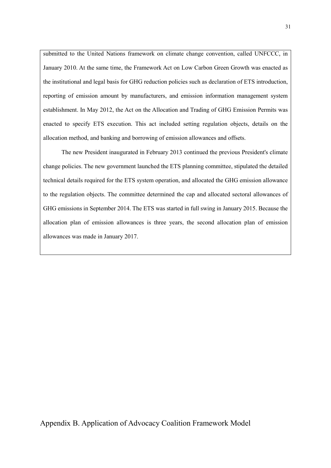submitted to the United Nations framework on climate change convention, called UNFCCC, in January 2010. At the same time, the Framework Act on Low Carbon Green Growth was enacted as the institutional and legal basis for GHG reduction policies such as declaration of ETS introduction, reporting of emission amount by manufacturers, and emission information management system establishment. In May 2012, the Act on the Allocation and Trading of GHG Emission Permits was enacted to specify ETS execution. This act included setting regulation objects, details on the allocation method, and banking and borrowing of emission allowances and offsets.

 The new President inaugurated in February 2013 continued the previous President's climate change policies. The new government launched the ETS planning committee, stipulated the detailed technical details required for the ETS system operation, and allocated the GHG emission allowance to the regulation objects. The committee determined the cap and allocated sectoral allowances of GHG emissions in September 2014. The ETS was started in full swing in January 2015. Because the allocation plan of emission allowances is three years, the second allocation plan of emission allowances was made in January 2017.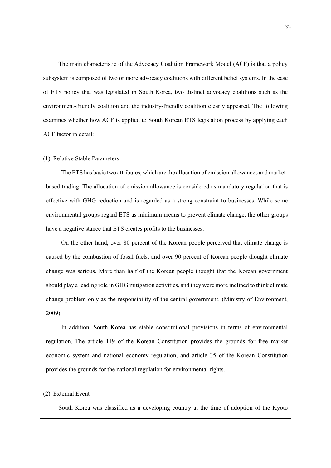The main characteristic of the Advocacy Coalition Framework Model (ACF) is that a policy subsystem is composed of two or more advocacy coalitions with different belief systems. In the case of ETS policy that was legislated in South Korea, two distinct advocacy coalitions such as the environment-friendly coalition and the industry-friendly coalition clearly appeared. The following examines whether how ACF is applied to South Korean ETS legislation process by applying each ACF factor in detail:

#### (1) Relative Stable Parameters

 The ETS has basic two attributes, which are the allocation of emission allowances and marketbased trading. The allocation of emission allowance is considered as mandatory regulation that is effective with GHG reduction and is regarded as a strong constraint to businesses. While some environmental groups regard ETS as minimum means to prevent climate change, the other groups have a negative stance that ETS creates profits to the businesses.

 On the other hand, over 80 percent of the Korean people perceived that climate change is caused by the combustion of fossil fuels, and over 90 percent of Korean people thought climate change was serious. More than half of the Korean people thought that the Korean government should play a leading role in GHG mitigation activities, and they were more inclined to think climate change problem only as the responsibility of the central government. (Ministry of Environment, 2009)

 In addition, South Korea has stable constitutional provisions in terms of environmental regulation. The article 119 of the Korean Constitution provides the grounds for free market economic system and national economy regulation, and article 35 of the Korean Constitution provides the grounds for the national regulation for environmental rights.

#### (2) External Event

South Korea was classified as a developing country at the time of adoption of the Kyoto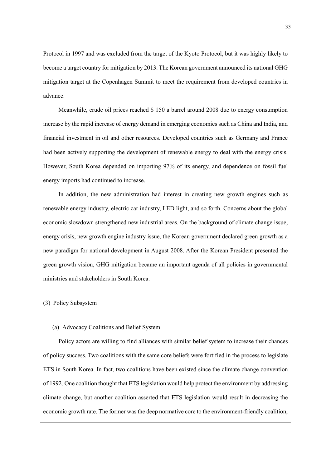Protocol in 1997 and was excluded from the target of the Kyoto Protocol, but it was highly likely to become a target country for mitigation by 2013. The Korean government announced its national GHG mitigation target at the Copenhagen Summit to meet the requirement from developed countries in advance.

 Meanwhile, crude oil prices reached \$ 150 a barrel around 2008 due to energy consumption increase by the rapid increase of energy demand in emerging economies such as China and India, and financial investment in oil and other resources. Developed countries such as Germany and France had been actively supporting the development of renewable energy to deal with the energy crisis. However, South Korea depended on importing 97% of its energy, and dependence on fossil fuel energy imports had continued to increase.

 In addition, the new administration had interest in creating new growth engines such as renewable energy industry, electric car industry, LED light, and so forth. Concerns about the global economic slowdown strengthened new industrial areas. On the background of climate change issue, energy crisis, new growth engine industry issue, the Korean government declared green growth as a new paradigm for national development in August 2008. After the Korean President presented the green growth vision, GHG mitigation became an important agenda of all policies in governmental ministries and stakeholders in South Korea.

(3) Policy Subsystem

#### (a) Advocacy Coalitions and Belief System

 Policy actors are willing to find alliances with similar belief system to increase their chances of policy success. Two coalitions with the same core beliefs were fortified in the process to legislate ETS in South Korea. In fact, two coalitions have been existed since the climate change convention of 1992. One coalition thought that ETS legislation would help protect the environment by addressing climate change, but another coalition asserted that ETS legislation would result in decreasing the economic growth rate. The former was the deep normative core to the environment-friendly coalition,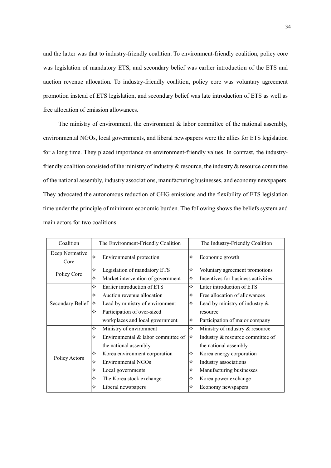and the latter was that to industry-friendly coalition. To environment-friendly coalition, policy core was legislation of mandatory ETS, and secondary belief was earlier introduction of the ETS and auction revenue allocation. To industry-friendly coalition, policy core was voluntary agreement promotion instead of ETS legislation, and secondary belief was late introduction of ETS as well as free allocation of emission allowances.

The ministry of environment, the environment  $\&$  labor committee of the national assembly, environmental NGOs, local governments, and liberal newspapers were the allies for ETS legislation for a long time. They placed importance on environment-friendly values. In contrast, the industryfriendly coalition consisted of the ministry of industry  $\&$  resource, the industry  $\&$  resource committee of the national assembly, industry associations, manufacturing businesses, and economy newspapers. They advocated the autonomous reduction of GHG emissions and the flexibility of ETS legislation time under the principle of minimum economic burden. The following shows the beliefs system and main actors for two coalitions.

| Coalition              | The Environment-Friendly Coalition                 |   | The Industry-Friendly Coalition    |
|------------------------|----------------------------------------------------|---|------------------------------------|
| Deep Normative<br>Core | ✧<br>Environmental protection                      | ✧ | Economic growth                    |
|                        | $\rightsquigarrow$<br>Legislation of mandatory ETS | ✧ | Voluntary agreement promotions     |
| Policy Core            | Market intervention of government<br>✧             | ✧ | Incentives for business activities |
|                        | ✧<br>Earlier introduction of ETS                   | ❖ | Later introduction of ETS          |
| Secondary Belief       | Auction revenue allocation<br>❖                    | ✧ | Free allocation of allowances      |
|                        | Lead by ministry of environment<br>I✧              | ✧ | Lead by ministry of industry $\&$  |
|                        | Participation of over-sized<br>✧                   |   | resource                           |
|                        | workplaces and local government                    | ✧ | Participation of major company     |
|                        | Ministry of environment<br>$\Leftrightarrow$       | ✧ | Ministry of industry & resource    |
| Policy Actors          | Environmental & labor committee of<br>✧            | ⋉ | Industry & resource committee of   |
|                        | the national assembly                              |   | the national assembly              |
|                        | Korea environment corporation<br>✧                 | ⊹ | Korea energy corporation           |
|                        | <b>Environmental NGOs</b><br>✧                     | ✧ | Industry associations              |
|                        | Local governments                                  | ✧ | Manufacturing businesses           |
|                        | The Korea stock exchange                           | ✧ | Korea power exchange               |
|                        | Liberal newspapers                                 | ✧ | Economy newspapers                 |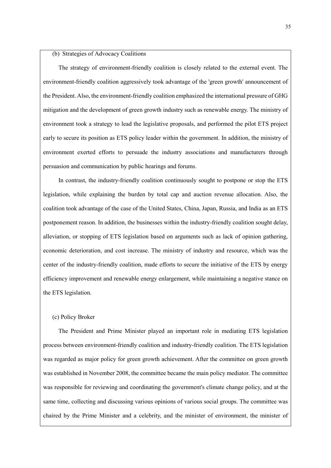#### (b) Strategies of Advocacy Coalitions

 The strategy of environment-friendly coalition is closely related to the external event. The environment-friendly coalition aggressively took advantage of the 'green growth' announcement of the President. Also, the environment-friendly coalition emphasized the international pressure of GHG mitigation and the development of green growth industry such as renewable energy. The ministry of environment took a strategy to lead the legislative proposals, and performed the pilot ETS project early to secure its position as ETS policy leader within the government. In addition, the ministry of environment exerted efforts to persuade the industry associations and manufacturers through persuasion and communication by public hearings and forums.

 In contrast, the industry-friendly coalition continuously sought to postpone or stop the ETS legislation, while explaining the burden by total cap and auction revenue allocation. Also, the coalition took advantage of the case of the United States, China, Japan, Russia, and India as an ETS postponement reason. In addition, the businesses within the industry-friendly coalition sought delay, alleviation, or stopping of ETS legislation based on arguments such as lack of opinion gathering, economic deterioration, and cost increase. The ministry of industry and resource, which was the center of the industry-friendly coalition, made efforts to secure the initiative of the ETS by energy efficiency improvement and renewable energy enlargement, while maintaining a negative stance on the ETS legislation.

#### (c) Policy Broker

 The President and Prime Minister played an important role in mediating ETS legislation process between environment-friendly coalition and industry-friendly coalition. The ETS legislation was regarded as major policy for green growth achievement. After the committee on green growth was established in November 2008, the committee became the main policy mediator. The committee was responsible for reviewing and coordinating the government's climate change policy, and at the same time, collecting and discussing various opinions of various social groups. The committee was chaired by the Prime Minister and a celebrity, and the minister of environment, the minister of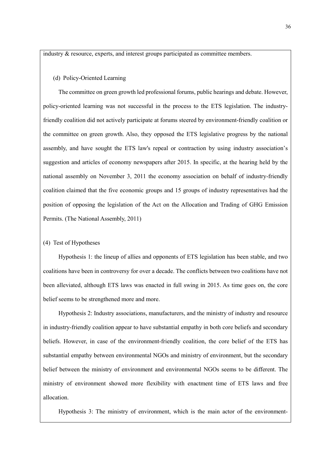industry & resource, experts, and interest groups participated as committee members.

#### (d) Policy-Oriented Learning

 The committee on green growth led professional forums, public hearings and debate. However, policy-oriented learning was not successful in the process to the ETS legislation. The industryfriendly coalition did not actively participate at forums steered by environment-friendly coalition or the committee on green growth. Also, they opposed the ETS legislative progress by the national assembly, and have sought the ETS law's repeal or contraction by using industry association's suggestion and articles of economy newspapers after 2015. In specific, at the hearing held by the national assembly on November 3, 2011 the economy association on behalf of industry-friendly coalition claimed that the five economic groups and 15 groups of industry representatives had the position of opposing the legislation of the Act on the Allocation and Trading of GHG Emission Permits. (The National Assembly, 2011)

#### (4) Test of Hypotheses

 Hypothesis 1: the lineup of allies and opponents of ETS legislation has been stable, and two coalitions have been in controversy for over a decade. The conflicts between two coalitions have not been alleviated, although ETS laws was enacted in full swing in 2015. As time goes on, the core belief seems to be strengthened more and more.

 Hypothesis 2: Industry associations, manufacturers, and the ministry of industry and resource in industry-friendly coalition appear to have substantial empathy in both core beliefs and secondary beliefs. However, in case of the environment-friendly coalition, the core belief of the ETS has substantial empathy between environmental NGOs and ministry of environment, but the secondary belief between the ministry of environment and environmental NGOs seems to be different. The ministry of environment showed more flexibility with enactment time of ETS laws and free allocation.

Hypothesis 3: The ministry of environment, which is the main actor of the environment-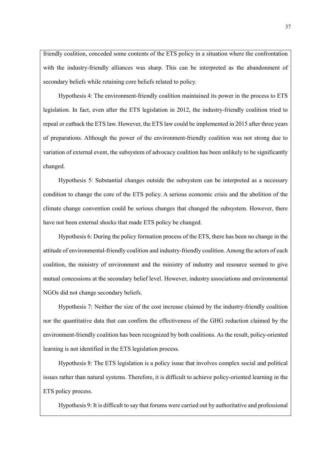friendly coalition, conceded some contents of the ETS policy in a situation where the confrontation with the industry-friendly alliances was sharp. This can be interpreted as the abandonment of secondary beliefs while retaining core beliefs related to policy.

 Hypothesis 4: The environment-friendly coalition maintained its power in the process to ETS legislation. In fact, even after the ETS legislation in 2012, the industry-friendly coalition tried to repeal or cutback the ETS law. However, the ETS law could be implemented in 2015 after three years of preparations. Although the power of the environment-friendly coalition was not strong due to variation of external event, the subsystem of advocacy coalition has been unlikely to be significantly changed.

 Hypothesis 5: Substantial changes outside the subsystem can be interpreted as a necessary condition to change the core of the ETS policy. A serious economic crisis and the abolition of the climate change convention could be serious changes that changed the subsystem. However, there have not been external shocks that made ETS policy be changed.

 Hypothesis 6: During the policy formation process of the ETS, there has been no change in the attitude of environmental-friendly coalition and industry-friendly coalition. Among the actors of each coalition, the ministry of environment and the ministry of industry and resource seemed to give mutual concessions at the secondary belief level. However, industry associations and environmental NGOs did not change secondary beliefs.

 Hypothesis 7: Neither the size of the cost increase claimed by the industry-friendly coalition nor the quantitative data that can confirm the effectiveness of the GHG reduction claimed by the environment-friendly coalition has been recognized by both coalitions. As the result, policy-oriented learning is not identified in the ETS legislation process.

 Hypothesis 8: The ETS legislation is a policy issue that involves complex social and political issues rather than natural systems. Therefore, it is difficult to achieve policy-oriented learning in the ETS policy process.

Hypothesis 9: It is difficult to say that forums were carried out by authoritative and professional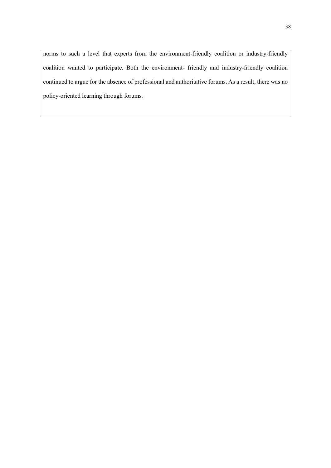norms to such a level that experts from the environment-friendly coalition or industry-friendly coalition wanted to participate. Both the environment- friendly and industry-friendly coalition continued to argue for the absence of professional and authoritative forums. As a result, there was no policy-oriented learning through forums.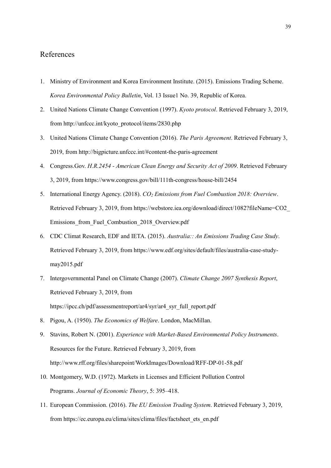# References

- 1. Ministry of Environment and Korea Environment Institute. (2015). Emissions Trading Scheme. *Korea Environmental Policy Bulletin*, Vol. 13 Issue1 No. 39, Republic of Korea.
- 2. United Nations Climate Change Convention (1997). *Kyoto protocol*. Retrieved February 3, 2019, from http://unfccc.int/kyoto\_protocol/items/2830.php
- 3. United Nations Climate Change Convention (2016). *The Paris Agreement*. Retrieved February 3, 2019, fro[m http://bigpicture.unfccc.int/#content-the-paris-agreement](http://bigpicture.unfccc.int/#content-the-paris-agreement)
- 4. Congress.Gov. *H.R.2454 - American Clean Energy and Security Act of 2009*. Retrieved February 3, 2019, from https://www.congress.gov/bill/111th-congress/house-bill/2454
- 5. International Energy Agency. (2018). *CO2 Emissions from Fuel Combustion 2018: Overview*. Retrieved February 3, 2019, from https://webstore.iea.org/download/direct/1082?fileName=CO2\_ Emissions from Fuel Combustion 2018 Overview.pdf
- 6. CDC Climat Research, EDF and IETA. (2015). *Australia:: An Emissions Trading Case Study*. Retrieved February 3, 2019, fro[m https://www.edf.org/sites/default/files/australia-case-study](https://www.edf.org/sites/default/files/australia-case-study-may2015.pdf)[may2015.pdf](https://www.edf.org/sites/default/files/australia-case-study-may2015.pdf)
- 7. Intergovernmental Panel on Climate Change (2007). *Climate Change 2007 Synthesis Report*, Retrieved February 3, 2019, from [https://ipcc.ch/pdf/assessmentreport/ar4/syr/ar4\\_syr\\_full\\_report.pdf](https://ipcc.ch/pdf/assessmentreport/ar4/syr/ar4_syr_full_report.pdf)
- 8. Pigou, A. (1950). *The Economics of Welfare*. London, MacMillan.
- 9. Stavins, Robert N. (2001). *[Experience with Market-Based Environmental Policy Instruments](http://www.rff.org/documents/RFF-DP-01-58.pdf)*. Resources for the Future. Retrieved February 3, 2019, from http://www.rff.org/files/sharepoint/WorkImages/Download/RFF-DP-01-58.pdf
- 10. Montgomery, W.D. (1972). Markets in Licenses and Efficient Pollution Control Programs. *Journal of Economic Theory*, 5: 395–418.
- 11. European Commission. (2016). *The EU Emission Trading System*. Retrieved February 3, 2019, from [https://ec.europa.eu/clima/sites/clima/files/factsheet\\_ets\\_en.pdf](https://ec.europa.eu/clima/sites/clima/files/factsheet_ets_en.pdf)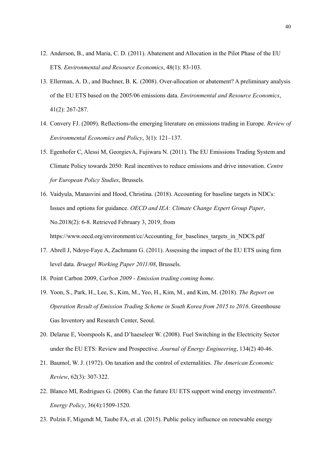- 12. Anderson, B., and Maria, C. D. (2011). Abatement and Allocation in the Pilot Phase of the EU ETS. *Environmental and Resource Economics*, 48(1): 83-103.
- 13. Ellerman, A. D., and Buchner, B. K. (2008). Over-allocation or abatement? A preliminary analysis of the EU ETS based on the 2005/06 emissions data. *Environmental and Resource Economics*, 41(2): 267-287.
- 14. Convery FJ. (2009). Reflections-the emerging literature on emissions trading in Europe. *Review of Environmental Economics and Policy*, 3(1): 121–137.
- 15. Egenhofer C, Alessi M, GeorgievA, Fujiwara N. (2011). The EU Emissions Trading System and Climate Policy towards 2050: Real incentives to reduce emissions and drive innovation. *Centre for European Policy Studies*, Brussels.
- 16. Vaidyula, Manasvini and Hood, Christina. (2018). Accounting for baseline targets in NDCs: Issues and options for guidance. *OECD and IEA: Climate Change Expert Group Paper*, No.2018(2): 6-8. Retrieved February 3, 2019, from https://www.oecd.org/environment/cc/Accounting for baselines targets in NDCS.pdf
- 17. Abrell J, Ndoye-Faye A, Zachmann G. (2011). Assessing the impact of the EU ETS using firm level data. *Bruegel Working Paper 2011/08*, Brussels.
- 18. Point Carbon 2009, *Carbon 2009 - Emission trading coming home*.
- 19. Yoon, S., Park, H., Lee, S., Kim, M., Yeo, H., Kim, M., and Kim, M. (2018). *The Report on Operation Result of Emission Trading Scheme in South Korea from 2015 to 2016*. Greenhouse Gas Inventory and Research Center, Seoul.
- 20. Delarue E, Voorspools K, and D'haeseleer W. (2008). Fuel Switching in the Electricity Sector under the EU ETS: Review and Prospective. *Journal of Energy Engineering*, 134(2) 40-46.
- 21. Baumol, W. J. (1972). On taxation and the control of externalities. *The American Economic Review*, 62(3): 307-322.
- 22. Blanco MI, Rodrigues G. (2008). Can the future EU ETS support wind energy investments?. *Energy Policy*, 36(4):1509-1520.
- 23. Polzin F, Migendt M, Taube FA, et al. (2015). Public policy influence on renewable energy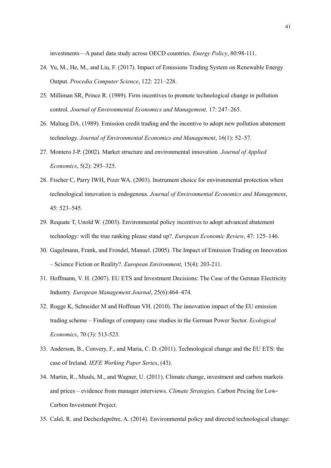investments—A panel data study across OECD countries. *Energy Policy*, 80:98-111.

- 24. Yu, M., He, M., and Liu, F. (2017). Impact of Emissions Trading System on Renewable Energy Output. *Procedia Computer Science*, 122: 221–228.
- 25. Milliman SR, Prince R. (1989). Firm incentives to promote technological change in pollution control. *Journal of Environmental Economics and Management,* 17: 247–265.
- 26. Malueg DA. (1989). Emission credit trading and the incentive to adopt new pollution abatement technology. *Journal of Environmental Economics and Management*, 16(1): 52–57.
- 27. Montero J-P. (2002). Market structure and environmental innovation*. Journal of Applied Economics*, 5(2): 293–325.
- 28. Fischer C, Parry IWH, Pizer WA. (2003). Instrument choice for environmental protection when technological innovation is endogenous. *Journal of Environmental Economics and Management*, 45: 523–545.
- 29. Requate T, Unold W. (2003). Environmental policy incentives to adopt advanced abatement technology: will the true ranking please stand up?. *European Economic Review*, 47: 125–146.
- 30. Gagelmann, Frank, and Frondel, Manuel. (2005). The Impact of Emission Trading on Innovation – Science Fiction or Reality?. *European Environment*, 15(4): 203-211.
- 31. Hoffmann, V. H. (2007). EU ETS and Investment Decisions: The Case of the German Electricity Industry. *European Management Journal*, 25(6):464–474.
- 32. Rogge K, Schneider M and Hoffman VH. (2010). The innovation impact of the EU emission trading scheme – Findings of company case studies in the German Power Sector. *Ecological Economics*, 70 (3): 513-523.
- 33. Anderson, B., Convery, F., and Maria, C. D. (2011). Technological change and the EU ETS: the case of Ireland. *IEFE Working Paper Series*, (43).
- 34. Martin, R., Muuls, M., and Wagner, U. (2011). Climate change, investment and carbon markets and prices – evidence from manager interviews. *Climate Strategies,* Carbon Pricing for Low-Carbon Investment Project.
- 35. Calel, R. and Dechezleprêtre, A. (2014). Environmental policy and directed technological change: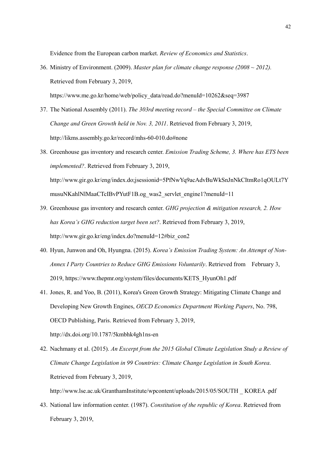Evidence from the European carbon market. *Review of Economics and Statistics*.

36. Ministry of Environment. (2009). *Master plan for climate change response (2008 ~ 2012).* Retrieved from February 3, 2019,

[https://www.me.go.kr/home/web/policy\\_data/read.do?menuId=10262&seq=3987](https://www.me.go.kr/home/web/policy_data/read.do?menuId=10262&seq=3987)

- 37. The National Assembly (2011). *The 303rd meeting record – the Special Committee on Climate Change and Green Growth held in Nov. 3, 2011*. Retrieved from February 3, 2019, http://likms.assembly.go.kr/record/mhs-60-010.do#none
- 38. Greenhouse gas inventory and research center. *Emission Trading Scheme, 3. Where has ETS been implemented?*. Retrieved from February 3, 2019, http://www.gir.go.kr/eng/index.do;jsessionid=5PfNwYq9acAdvBuWkSnJnNkCItmRo1qOULt7Y musuNKahlNlMaaCTcIBvPYutF1B.og\_was2\_servlet\_engine1?menuId=11
- 39. Greenhouse gas inventory and research center. *GHG projection & mitigation research, 2. How has Korea's GHG reduction target been set?*. Retrieved from February 3, 2019, http://www.gir.go.kr/eng/index.do?menuId=12#biz\_con2
- 40. Hyun, Junwon and Oh, Hyungna. (2015). *Korea's Emission Trading System: An Attempt of Non-Annex I Party Countries to Reduce GHG Emissions Voluntarily*. Retrieved from February 3, 2019, https://www.thepmr.org/system/files/documents/KETS\_HyunOh1.pdf
- 41. Jones, R. and Yoo, B. (2011), Korea's Green Growth Strategy: Mitigating Climate Change and Developing New Growth Engines, *OECD Economics Department Working Papers*, No. 798, OECD Publishing, Paris. Retrieved from February 3, 2019, http://dx.doi.org/10.1787/5kmbhk4gh1ns-en
- 42. Nachmany et al. (2015). *An Excerpt from the 2015 Global Climate Legislation Study a Review of Climate Change Legislation in 99 Countries: Climate Change Legislation in South Korea*. Retrieved from February 3, 2019, http://www.lse.ac.uk/GranthamInstitute/wpcontent/uploads/2015/05/SOUTH \_ KOREA .pdf
- 43. National law information center. (1987). *Constitution of the republic of Korea*. Retrieved from February 3, 2019,